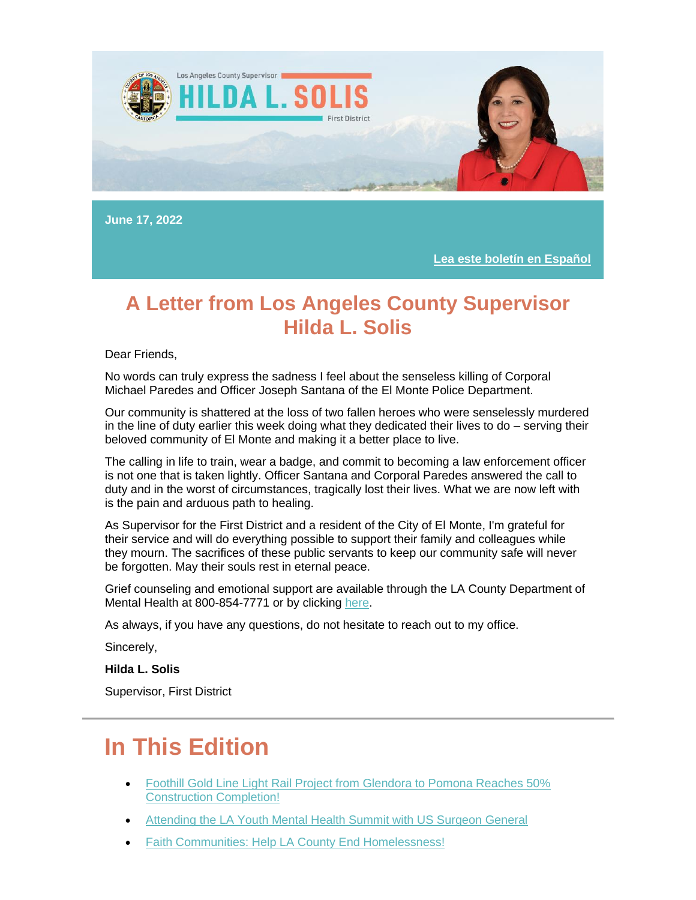

**June 17, 2022**

**[Lea este boletín en Español](https://nam12.safelinks.protection.outlook.com/?url=https%3A%2F%2Flnks.gd%2Fl%2FeyJhbGciOiJIUzI1NiJ9.eyJidWxsZXRpbl9saW5rX2lkIjoxMDEsInVyaSI6ImJwMjpjbGljayIsImJ1bGxldGluX2lkIjoiMjAyMjA2MTguNTk1ODk0NTEiLCJ1cmwiOiJodHRwczovL3RyYW5zbGF0ZS5nb29nbGUuY29tL3RyYW5zbGF0ZT9obD1lbiZzbD1lbiZ0bD1lcyZ1PWh0dHBzJTNBJTJGJTJGY29udGVudC5nb3ZkZWxpdmVyeS5jb20lMkZhY2NvdW50cyUyRkNBTEFDT1VOVFklMkZidWxsZXRpbnMlMkYzMWNhZDZlJnV0bV9jb250ZW50PSZ1dG1fbWVkaXVtPWVtYWlsJnV0bV9uYW1lPSZ1dG1fc291cmNlPWdvdmRlbGl2ZXJ5JnV0bV90ZXJtPSJ9.DZxRDEEiHre1KSjQiR4mrR0Srp92kfwAcGwDXNFStjc%2Fs%2F1843900806%2Fbr%2F133296337742-l&data=05%7C01%7C%7C63f7fd3648cd41e5c1e508da5134f990%7C84df9e7fe9f640afb435aaaaaaaaaaaa%7C1%7C0%7C637911585216233124%7CUnknown%7CTWFpbGZsb3d8eyJWIjoiMC4wLjAwMDAiLCJQIjoiV2luMzIiLCJBTiI6Ik1haWwiLCJXVCI6Mn0%3D%7C3000%7C%7C%7C&sdata=mJE%2FXdiraR90oXF%2Bb0%2F5zWFL7h4FOQ%2F7RnZGekZPPZU%3D&reserved=0)**

### **A Letter from Los Angeles County Supervisor Hilda L. Solis**

Dear Friends,

No words can truly express the sadness I feel about the senseless killing of Corporal Michael Paredes and Officer Joseph Santana of the El Monte Police Department.

Our community is shattered at the loss of two fallen heroes who were senselessly murdered in the line of duty earlier this week doing what they dedicated their lives to do – serving their beloved community of El Monte and making it a better place to live.

The calling in life to train, wear a badge, and commit to becoming a law enforcement officer is not one that is taken lightly. Officer Santana and Corporal Paredes answered the call to duty and in the worst of circumstances, tragically lost their lives. What we are now left with is the pain and arduous path to healing.

As Supervisor for the First District and a resident of the City of El Monte, I'm grateful for their service and will do everything possible to support their family and colleagues while they mourn. The sacrifices of these public servants to keep our community safe will never be forgotten. May their souls rest in eternal peace.

Grief counseling and emotional support are available through the LA County Department of Mental Health at 800-854-7771 or by clicking [here.](https://nam12.safelinks.protection.outlook.com/?url=https%3A%2F%2Flnks.gd%2Fl%2FeyJhbGciOiJIUzI1NiJ9.eyJidWxsZXRpbl9saW5rX2lkIjoxMDIsInVyaSI6ImJwMjpjbGljayIsImJ1bGxldGluX2lkIjoiMjAyMjA2MTguNTk1ODk0NTEiLCJ1cmwiOiJodHRwczovL2RtaC5sYWNvdW50eS5nb3YvZ2V0LWhlbHAtbm93Lz91dG1fY29udGVudD0mdXRtX21lZGl1bT1lbWFpbCZ1dG1fbmFtZT0mdXRtX3NvdXJjZT1nb3ZkZWxpdmVyeSZ1dG1fdGVybT0ifQ.jYGxmSyojs8l8DOkmdSCDzCSinKHiNNZfp5WYNFkRuY%2Fs%2F1843900806%2Fbr%2F133296337742-l&data=05%7C01%7C%7C63f7fd3648cd41e5c1e508da5134f990%7C84df9e7fe9f640afb435aaaaaaaaaaaa%7C1%7C0%7C637911585216233124%7CUnknown%7CTWFpbGZsb3d8eyJWIjoiMC4wLjAwMDAiLCJQIjoiV2luMzIiLCJBTiI6Ik1haWwiLCJXVCI6Mn0%3D%7C3000%7C%7C%7C&sdata=XONhS%2BQkkzebBM7%2FkZpAzDKFDyaPA7ZohiLPeNsjOnQ%3D&reserved=0)

As always, if you have any questions, do not hesitate to reach out to my office.

Sincerely,

**Hilda L. Solis**

Supervisor, First District

# **In This Edition**

- [Foothill Gold Line Light Rail Project from Glendora to Pomona Reaches 50%](https://outlook.live.com/mail/0/inbox/id/AQMkADAwATExADVmOC02OTRhLTIwZmYALTAwAi0wMAoARgAAAzpmvov7Kq9NuhcF%2BU9kz1MHAMvvNMrr71RLqV4kq2zl348AAAIBDAAAAMvvNMrr71RLqV4kq2zl348ABWeWj9kAAAA%3D#x_link_6)  [Construction Completion!](https://outlook.live.com/mail/0/inbox/id/AQMkADAwATExADVmOC02OTRhLTIwZmYALTAwAi0wMAoARgAAAzpmvov7Kq9NuhcF%2BU9kz1MHAMvvNMrr71RLqV4kq2zl348AAAIBDAAAAMvvNMrr71RLqV4kq2zl348ABWeWj9kAAAA%3D#x_link_6)
- [Attending the LA Youth Mental Health Summit with US Surgeon General](https://outlook.live.com/mail/0/inbox/id/AQMkADAwATExADVmOC02OTRhLTIwZmYALTAwAi0wMAoARgAAAzpmvov7Kq9NuhcF%2BU9kz1MHAMvvNMrr71RLqV4kq2zl348AAAIBDAAAAMvvNMrr71RLqV4kq2zl348ABWeWj9kAAAA%3D#x_link_5)
- **[Faith Communities: Help LA County End Homelessness!](https://outlook.live.com/mail/0/inbox/id/AQMkADAwATExADVmOC02OTRhLTIwZmYALTAwAi0wMAoARgAAAzpmvov7Kq9NuhcF%2BU9kz1MHAMvvNMrr71RLqV4kq2zl348AAAIBDAAAAMvvNMrr71RLqV4kq2zl348ABWeWj9kAAAA%3D#x_link_2)**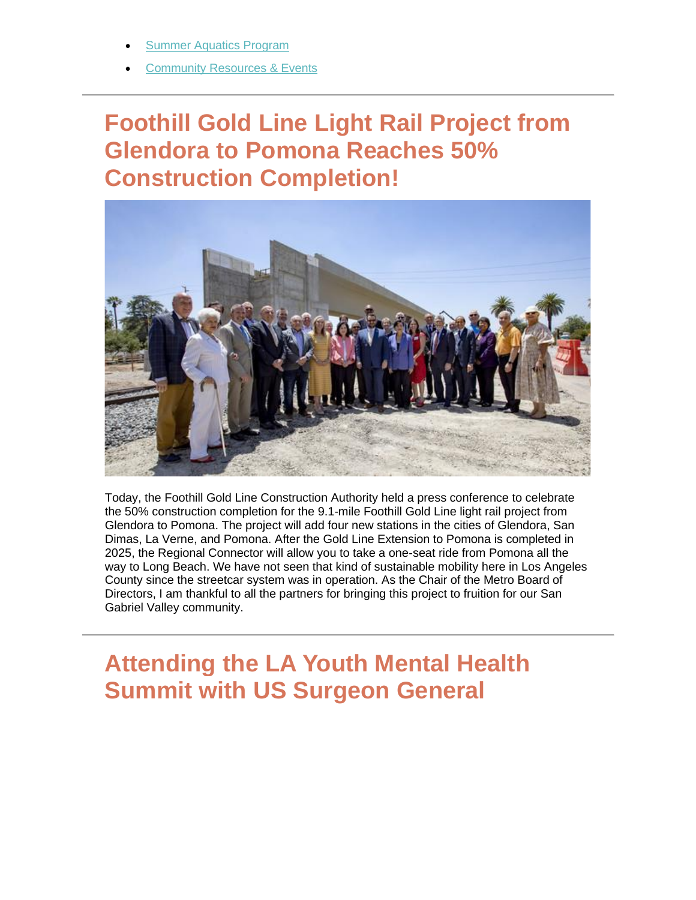- **Summer Aquatics Program**
- **[Community Resources & Events](https://outlook.live.com/mail/0/inbox/id/AQMkADAwATExADVmOC02OTRhLTIwZmYALTAwAi0wMAoARgAAAzpmvov7Kq9NuhcF%2BU9kz1MHAMvvNMrr71RLqV4kq2zl348AAAIBDAAAAMvvNMrr71RLqV4kq2zl348ABWeWj9kAAAA%3D#x_link_1)**

# **Foothill Gold Line Light Rail Project from Glendora to Pomona Reaches 50% Construction Completion!**



Today, the Foothill Gold Line Construction Authority held a press conference to celebrate the 50% construction completion for the 9.1-mile Foothill Gold Line light rail project from Glendora to Pomona. The project will add four new stations in the cities of Glendora, San Dimas, La Verne, and Pomona. After the Gold Line Extension to Pomona is completed in 2025, the Regional Connector will allow you to take a one-seat ride from Pomona all the way to Long Beach. We have not seen that kind of sustainable mobility here in Los Angeles County since the streetcar system was in operation. As the Chair of the Metro Board of Directors, I am thankful to all the partners for bringing this project to fruition for our San Gabriel Valley community.

# **Attending the LA Youth Mental Health Summit with US Surgeon General**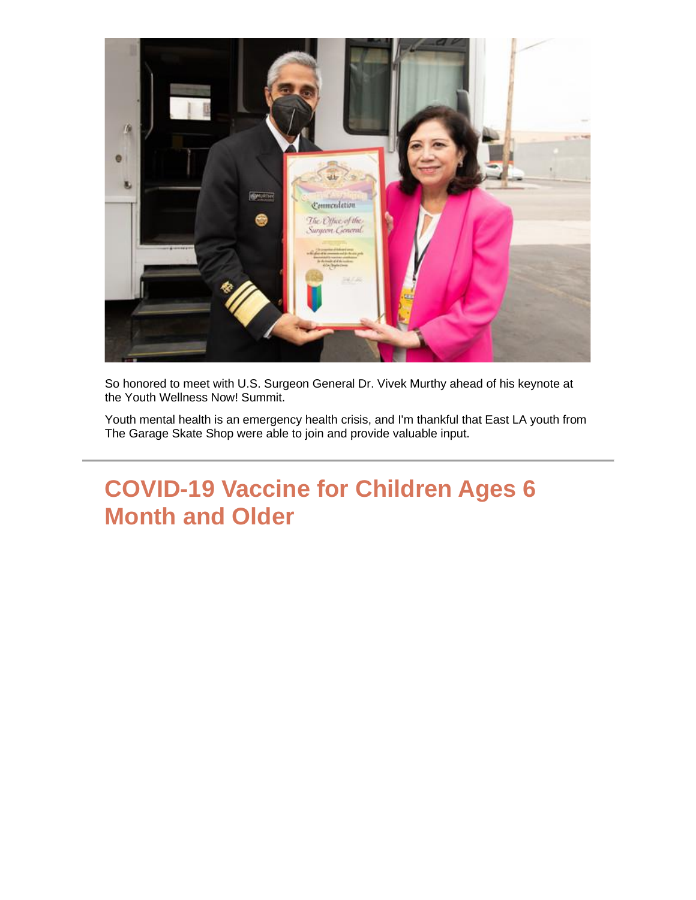

So honored to meet with U.S. Surgeon General Dr. Vivek Murthy ahead of his keynote at the Youth Wellness Now! Summit.

Youth mental health is an emergency health crisis, and I'm thankful that East LA youth from The Garage Skate Shop were able to join and provide valuable input.

# **COVID-19 Vaccine for Children Ages 6 Month and Older**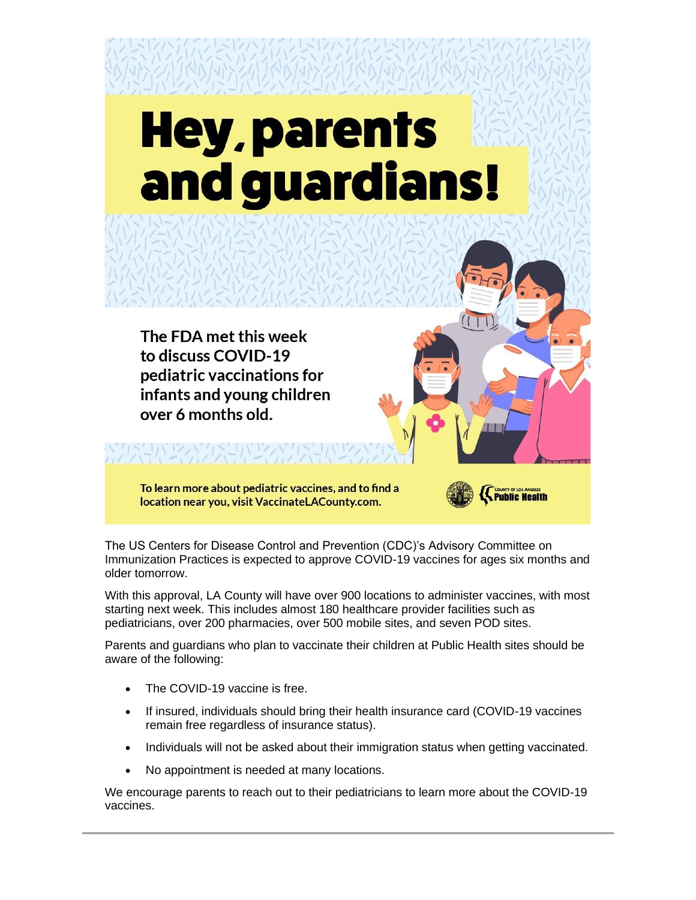# **Hey, parents** and guardians!

The FDA met this week to discuss COVID-19 pediatric vaccinations for infants and young children over 6 months old.

To learn more about pediatric vaccines, and to find a location near you, visit VaccinateLACounty.com.



The US Centers for Disease Control and Prevention (CDC)'s Advisory Committee on Immunization Practices is expected to approve COVID-19 vaccines for ages six months and older tomorrow.

With this approval, LA County will have over 900 locations to administer vaccines, with most starting next week. This includes almost 180 healthcare provider facilities such as pediatricians, over 200 pharmacies, over 500 mobile sites, and seven POD sites.

Parents and guardians who plan to vaccinate their children at Public Health sites should be aware of the following:

- The COVID-19 vaccine is free.
- If insured, individuals should bring their health insurance card (COVID-19 vaccines remain free regardless of insurance status).
- Individuals will not be asked about their immigration status when getting vaccinated.
- No appointment is needed at many locations.

We encourage parents to reach out to their pediatricians to learn more about the COVID-19 vaccines.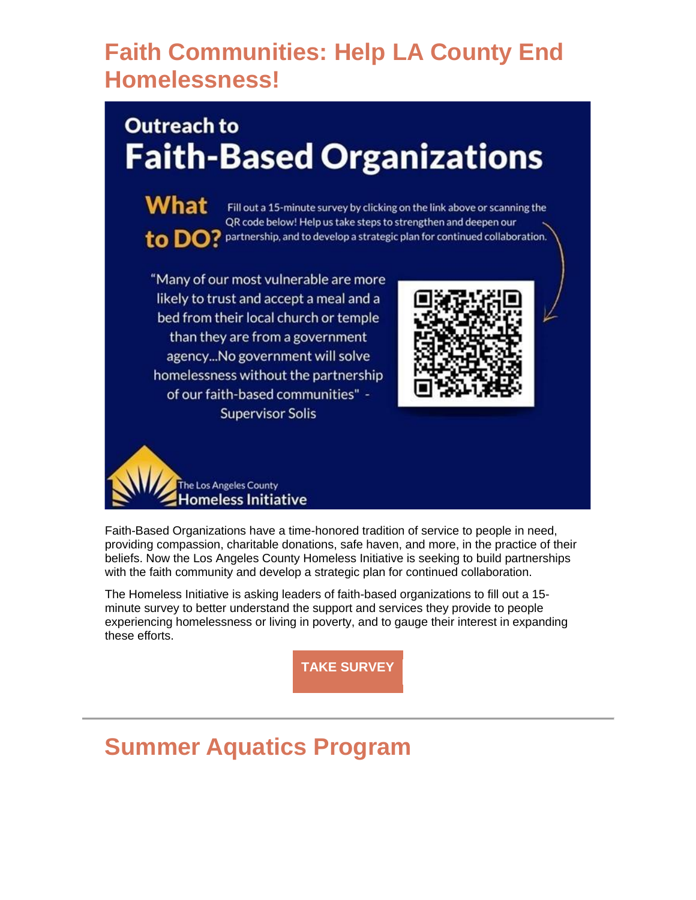# **Faith Communities: Help LA County End Homelessness!**

# **Outreach to Faith-Based Organizations**

What Fill out a 15-minute survey by clicking on the link above or scanning the QR code below! Help us take steps to strengthen and deepen our to DO? partnership, and to develop a strategic plan for continued collaboration.

"Many of our most vulnerable are more likely to trust and accept a meal and a bed from their local church or temple than they are from a government agency...No government will solve homelessness without the partnership of our faith-based communities" -**Supervisor Solis** 





Faith-Based Organizations have a time-honored tradition of service to people in need, providing compassion, charitable donations, safe haven, and more, in the practice of their beliefs. Now the Los Angeles County Homeless Initiative is seeking to build partnerships with the faith community and develop a strategic plan for continued collaboration.

The Homeless Initiative is asking leaders of faith-based organizations to fill out a 15 minute survey to better understand the support and services they provide to people experiencing homelessness or living in poverty, and to gauge their interest in expanding these efforts.

**[TAKE SURVEY](https://nam12.safelinks.protection.outlook.com/?url=https%3A%2F%2Flnks.gd%2Fl%2FeyJhbGciOiJIUzI1NiJ9.eyJidWxsZXRpbl9saW5rX2lkIjoxMDQsInVyaSI6ImJwMjpjbGljayIsImJ1bGxldGluX2lkIjoiMjAyMjA2MTguNTk1ODk0NTEiLCJ1cmwiOiJodHRwczovL2hvbWVsZXNzLmxhY291bnR5Lmdvdi9mYWl0aC1iYXNlZC1vcmdhbml6YXRpb25zLXN1cnZleS8_dXRtX2NvbnRlbnQ9JnV0bV9tZWRpdW09ZW1haWwmdXRtX25hbWU9JnV0bV9zb3VyY2U9Z292ZGVsaXZlcnkmdXRtX3Rlcm09In0.55vQ9Lp4Kc68T31oi1GBjv5rM_PKdDNCLEdkgjEEVBE%2Fs%2F1843900806%2Fbr%2F133296337742-l&data=05%7C01%7C%7C63f7fd3648cd41e5c1e508da5134f990%7C84df9e7fe9f640afb435aaaaaaaaaaaa%7C1%7C0%7C637911585216233124%7CUnknown%7CTWFpbGZsb3d8eyJWIjoiMC4wLjAwMDAiLCJQIjoiV2luMzIiLCJBTiI6Ik1haWwiLCJXVCI6Mn0%3D%7C3000%7C%7C%7C&sdata=FRl9VWdQjClmFZCMb3rCg4cg2J%2BMjeJSdZE8CKGY%2BCY%3D&reserved=0)**

# **Summer Aquatics Program**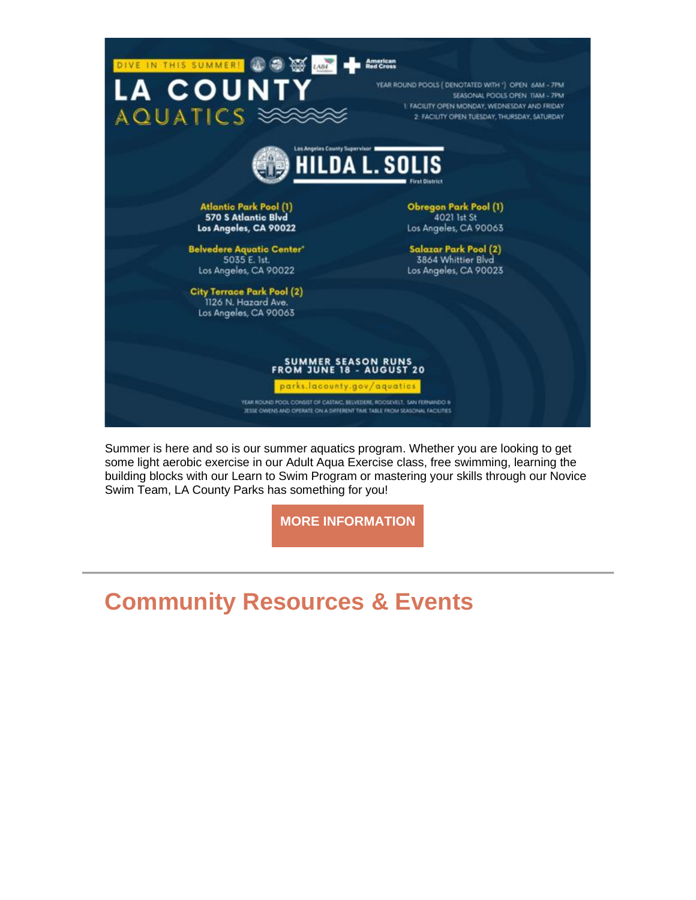

Summer is here and so is our summer aquatics program. Whether you are looking to get some light aerobic exercise in our Adult Aqua Exercise class, free swimming, learning the building blocks with our Learn to Swim Program or mastering your skills through our Novice Swim Team, LA County Parks has something for you!

**[MORE INFORMATION](https://nam12.safelinks.protection.outlook.com/?url=https%3A%2F%2Flnks.gd%2Fl%2FeyJhbGciOiJIUzI1NiJ9.eyJidWxsZXRpbl9saW5rX2lkIjoxMDUsInVyaSI6ImJwMjpjbGljayIsImJ1bGxldGluX2lkIjoiMjAyMjA2MTguNTk1ODk0NTEiLCJ1cmwiOiJodHRwczovL3BhcmtzLmxhY291bnR5Lmdvdi9hcXVhdGljcy8_dXRtX2NvbnRlbnQ9JnV0bV9tZWRpdW09ZW1haWwmdXRtX25hbWU9JnV0bV9zb3VyY2U9Z292ZGVsaXZlcnkmdXRtX3Rlcm09In0.h0CpZ2CYD9cSH2KgDx_LScb9V8OUUr4Y2sZBfZNFmHY%2Fs%2F1843900806%2Fbr%2F133296337742-l&data=05%7C01%7C%7C63f7fd3648cd41e5c1e508da5134f990%7C84df9e7fe9f640afb435aaaaaaaaaaaa%7C1%7C0%7C637911585216233124%7CUnknown%7CTWFpbGZsb3d8eyJWIjoiMC4wLjAwMDAiLCJQIjoiV2luMzIiLCJBTiI6Ik1haWwiLCJXVCI6Mn0%3D%7C3000%7C%7C%7C&sdata=prC7uSXk63KD452O6WLJ5B3P5kd0BaRTB9RL08w28jY%3D&reserved=0)**

# **Community Resources & Events**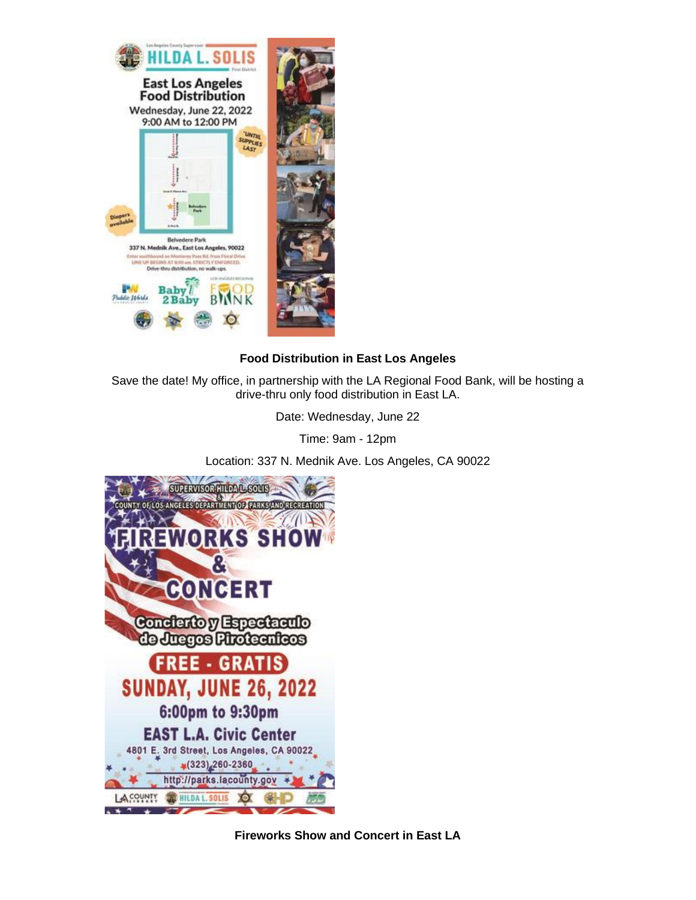

### **Food Distribution in East Los Angeles**

Save the date! My office, in partnership with the LA Regional Food Bank, will be hosting a drive-thru only food distribution in East LA.

Date: Wednesday, June 22

Time: 9am - 12pm

Location: 337 N. Mednik Ave. Los Angeles, CA 90022



**Fireworks Show and Concert in East LA**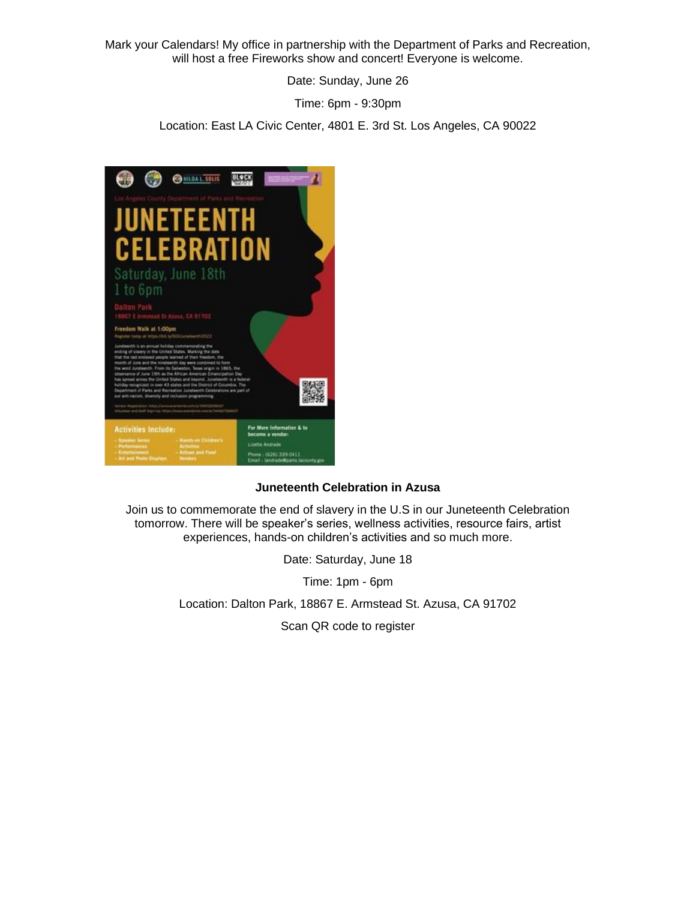Mark your Calendars! My office in partnership with the Department of Parks and Recreation, will host a free Fireworks show and concert! Everyone is welcome.

Date: Sunday, June 26

Time: 6pm - 9:30pm

Location: East LA Civic Center, 4801 E. 3rd St. Los Angeles, CA 90022

![](_page_7_Picture_4.jpeg)

### **Juneteenth Celebration in Azusa**

Join us to commemorate the end of slavery in the U.S in our Juneteenth Celebration tomorrow. There will be speaker's series, wellness activities, resource fairs, artist experiences, hands-on children's activities and so much more.

Date: Saturday, June 18

Time: 1pm - 6pm

Location: Dalton Park, 18867 E. Armstead St. Azusa, CA 91702

Scan QR code to register